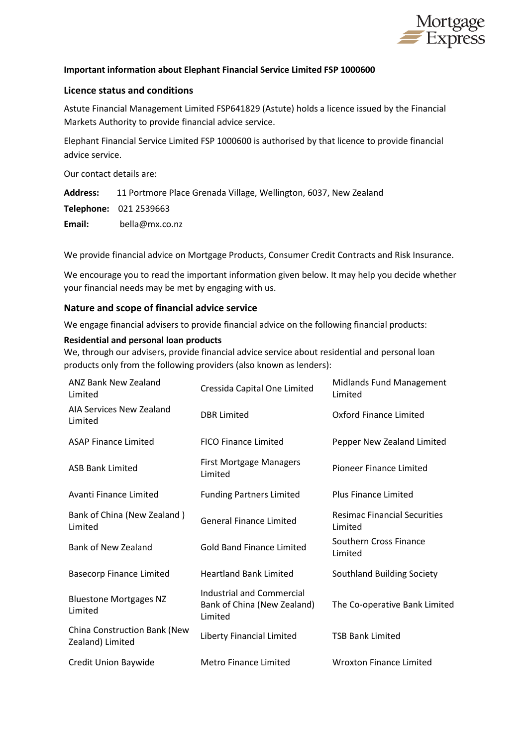

### **Important information about Elephant Financial Service Limited FSP 1000600**

#### **Licence status and conditions**

Astute Financial Management Limited FSP641829 (Astute) holds a licence issued by the Financial Markets Authority to provide financial advice service.

Elephant Financial Service Limited FSP 1000600 is authorised by that licence to provide financial advice service.

Our contact details are:

**Address:** 11 Portmore Place Grenada Village, Wellington, 6037, New Zealand

**Telephone:** 021 2539663

**Email:** bella@mx.co.nz

We provide financial advice on Mortgage Products, Consumer Credit Contracts and Risk Insurance.

We encourage you to read the important information given below. It may help you decide whether your financial needs may be met by engaging with us.

#### **Nature and scope of financial advice service**

We engage financial advisers to provide financial advice on the following financial products:

#### **Residential and personal loan products**

We, through our advisers, provide financial advice service about residential and personal loan products only from the following providers (also known as lenders):

| ANZ Bank New Zealand<br>Limited                  | Cressida Capital One Limited                                               | <b>Midlands Fund Management</b><br>Limited     |
|--------------------------------------------------|----------------------------------------------------------------------------|------------------------------------------------|
| AIA Services New Zealand<br>Limited              | <b>DBR</b> Limited                                                         | Oxford Finance Limited                         |
| <b>ASAP Finance Limited</b>                      | <b>FICO Finance Limited</b>                                                | Pepper New Zealand Limited                     |
| <b>ASB Bank Limited</b>                          | <b>First Mortgage Managers</b><br>Limited                                  | Pioneer Finance Limited                        |
| Avanti Finance Limited                           | <b>Funding Partners Limited</b>                                            | <b>Plus Finance Limited</b>                    |
| Bank of China (New Zealand)<br>Limited           | <b>General Finance Limited</b>                                             | <b>Resimac Financial Securities</b><br>Limited |
| <b>Bank of New Zealand</b>                       | <b>Gold Band Finance Limited</b>                                           | Southern Cross Finance<br>Limited              |
| <b>Basecorp Finance Limited</b>                  | <b>Heartland Bank Limited</b>                                              | Southland Building Society                     |
| <b>Bluestone Mortgages NZ</b><br>Limited         | <b>Industrial and Commercial</b><br>Bank of China (New Zealand)<br>Limited | The Co-operative Bank Limited                  |
| China Construction Bank (New<br>Zealand) Limited | Liberty Financial Limited                                                  | <b>TSB Bank Limited</b>                        |
| Credit Union Baywide                             | <b>Metro Finance Limited</b>                                               | <b>Wroxton Finance Limited</b>                 |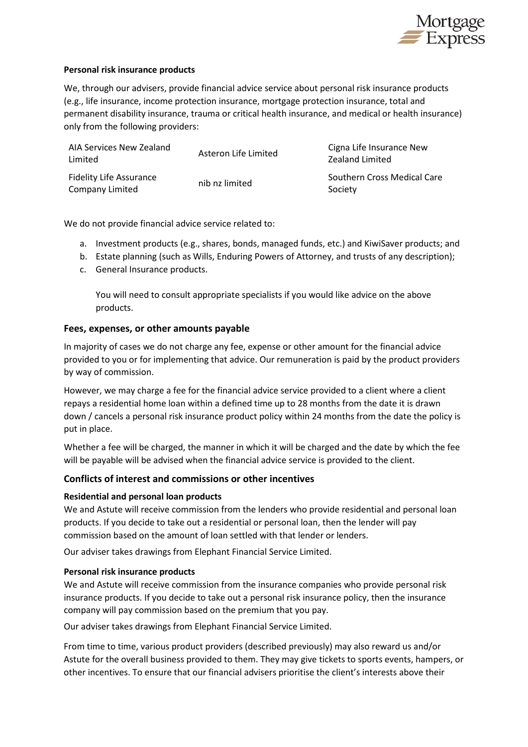

### **Personal risk insurance products**

We, through our advisers, provide financial advice service about personal risk insurance products (e.g., life insurance, income protection insurance, mortgage protection insurance, total and permanent disability insurance, trauma or critical health insurance, and medical or health insurance) only from the following providers:

| AIA Services New Zealand<br>Limited               | Asteron Life Limited | Cigna Life Insurance New<br>Zealand Limited |
|---------------------------------------------------|----------------------|---------------------------------------------|
| <b>Fidelity Life Assurance</b><br>Company Limited | nib nz limited       | Southern Cross Medical Care<br>Society      |

We do not provide financial advice service related to:

- a. Investment products (e.g., shares, bonds, managed funds, etc.) and KiwiSaver products; and
- b. Estate planning (such as Wills, Enduring Powers of Attorney, and trusts of any description);
- c. General Insurance products.

You will need to consult appropriate specialists if you would like advice on the above products.

#### **Fees, expenses, or other amounts payable**

In majority of cases we do not charge any fee, expense or other amount for the financial advice provided to you or for implementing that advice. Our remuneration is paid by the product providers by way of commission.

However, we may charge a fee for the financial advice service provided to a client where a client repays a residential home loan within a defined time up to 28 months from the date it is drawn down / cancels a personal risk insurance product policy within 24 months from the date the policy is put in place.

Whether a fee will be charged, the manner in which it will be charged and the date by which the fee will be payable will be advised when the financial advice service is provided to the client.

#### **Conflicts of interest and commissions or other incentives**

#### **Residential and personal loan products**

We and Astute will receive commission from the lenders who provide residential and personal loan products. If you decide to take out a residential or personal loan, then the lender will pay commission based on the amount of loan settled with that lender or lenders.

Our adviser takes drawings from Elephant Financial Service Limited.

#### **Personal risk insurance products**

We and Astute will receive commission from the insurance companies who provide personal risk insurance products. If you decide to take out a personal risk insurance policy, then the insurance company will pay commission based on the premium that you pay.

Our adviser takes drawings from Elephant Financial Service Limited.

From time to time, various product providers (described previously) may also reward us and/or Astute for the overall business provided to them. They may give tickets to sports events, hampers, or other incentives. To ensure that our financial advisers prioritise the client's interests above their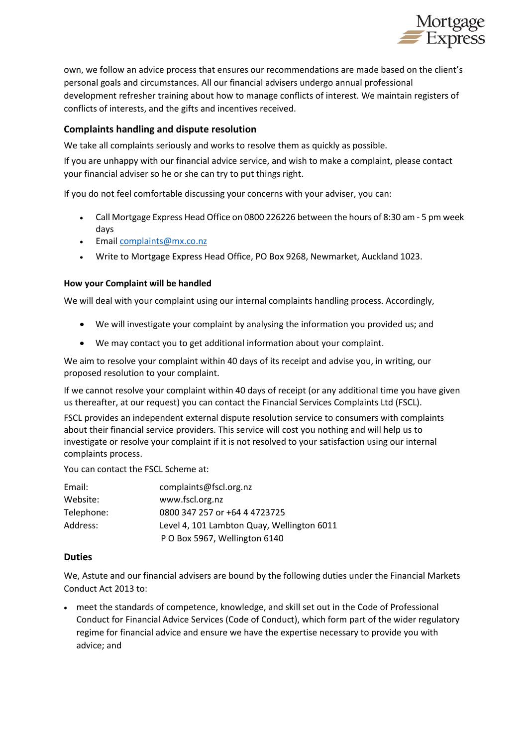

own, we follow an advice process that ensures our recommendations are made based on the client's personal goals and circumstances. All our financial advisers undergo annual professional development refresher training about how to manage conflicts of interest. We maintain registers of conflicts of interests, and the gifts and incentives received.

# **Complaints handling and dispute resolution**

We take all complaints seriously and works to resolve them as quickly as possible.

If you are unhappy with our financial advice service, and wish to make a complaint, please contact your financial adviser so he or she can try to put things right.

If you do not feel comfortable discussing your concerns with your adviser, you can:

- Call Mortgage Express Head Office on 0800 226226 between the hours of 8:30 am 5 pm week days
- Email [complaints@mx.co.nz](mailto:complaints@mx.co.nz)
- Write to Mortgage Express Head Office, PO Box 9268, Newmarket, Auckland 1023.

## **How your Complaint will be handled**

We will deal with your complaint using our internal complaints handling process. Accordingly,

- We will investigate your complaint by analysing the information you provided us; and
- We may contact you to get additional information about your complaint.

We aim to resolve your complaint within 40 days of its receipt and advise you, in writing, our proposed resolution to your complaint.

If we cannot resolve your complaint within 40 days of receipt (or any additional time you have given us thereafter, at our request) you can contact the Financial Services Complaints Ltd (FSCL).

FSCL provides an independent external dispute resolution service to consumers with complaints about their financial service providers. This service will cost you nothing and will help us to investigate or resolve your complaint if it is not resolved to your satisfaction using our internal complaints process.

You can contact the FSCL Scheme at:

| Email:     | complaints@fscl.org.nz                     |
|------------|--------------------------------------------|
| Website:   | www.fscl.org.nz                            |
| Telephone: | 0800 347 257 or +64 4 4723725              |
| Address:   | Level 4, 101 Lambton Quay, Wellington 6011 |
|            | P O Box 5967, Wellington 6140              |

#### **Duties**

We, Astute and our financial advisers are bound by the following duties under the Financial Markets Conduct Act 2013 to:

• meet the standards of competence, knowledge, and skill set out in the Code of Professional Conduct for Financial Advice Services (Code of Conduct), which form part of the wider regulatory regime for financial advice and ensure we have the expertise necessary to provide you with advice; and